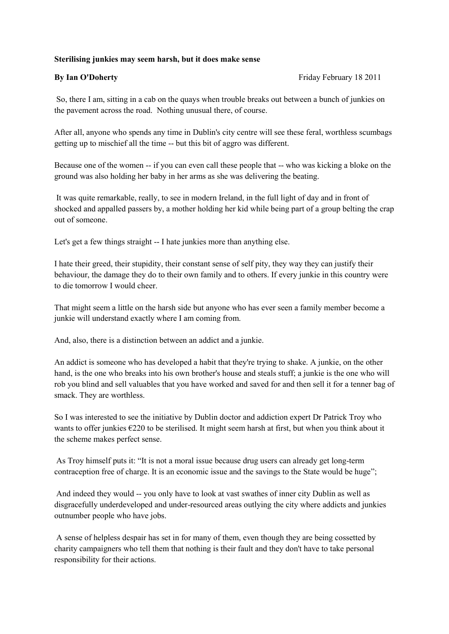## **Sterilising junkies may seem harsh, but it does make sense**

**By Ian O'Doherty By Ian O'Doherty Friday February 18 2011** 

So, there I am, sitting in a cab on the quays when trouble breaks out between a bunch of junkies on the pavement across the road. Nothing unusual there, of course.

After all, anyone who spends any time in Dublin's city centre will see these feral, worthless scumbags getting up to mischief all the time -- but this bit of aggro was different.

Because one of the women -- if you can even call these people that -- who was kicking a bloke on the ground was also holding her baby in her arms as she was delivering the beating.

It was quite remarkable, really, to see in modern Ireland, in the full light of day and in front of shocked and appalled passers by, a mother holding her kid while being part of a group belting the crap out of someone.

Let's get a few things straight -- I hate junkies more than anything else.

I hate their greed, their stupidity, their constant sense of self pity, they way they can justify their behaviour, the damage they do to their own family and to others. If every junkie in this country were to die tomorrow I would cheer.

That might seem a little on the harsh side but anyone who has ever seen a family member become a junkie will understand exactly where I am coming from.

And, also, there is a distinction between an addict and a junkie.

An addict is someone who has developed a habit that they're trying to shake. A junkie, on the other hand, is the one who breaks into his own brother's house and steals stuff; a junkie is the one who will rob you blind and sell valuables that you have worked and saved for and then sell it for a tenner bag of smack. They are worthless.

So I was interested to see the initiative by Dublin doctor and addiction expert Dr Patrick Troy who wants to offer junkies €220 to be sterilised. It might seem harsh at first, but when you think about it the scheme makes perfect sense.

As Troy himself puts it: "It is not a moral issue because drug users can already get long-term contraception free of charge. It is an economic issue and the savings to the State would be huge";

And indeed they would -- you only have to look at vast swathes of inner city Dublin as well as disgracefully underdeveloped and under-resourced areas outlying the city where addicts and junkies outnumber people who have jobs.

A sense of helpless despair has set in for many of them, even though they are being cossetted by charity campaigners who tell them that nothing is their fault and they don't have to take personal responsibility for their actions.